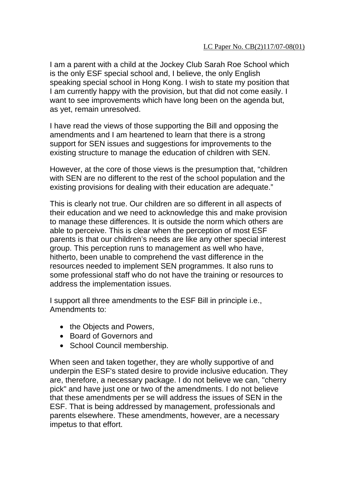I am a parent with a child at the Jockey Club Sarah Roe School which is the only ESF special school and, I believe, the only English speaking special school in Hong Kong. I wish to state my position that I am currently happy with the provision, but that did not come easily. I want to see improvements which have long been on the agenda but, as yet, remain unresolved.

I have read the views of those supporting the Bill and opposing the amendments and I am heartened to learn that there is a strong support for SEN issues and suggestions for improvements to the existing structure to manage the education of children with SEN.

However, at the core of those views is the presumption that, "children with SEN are no different to the rest of the school population and the existing provisions for dealing with their education are adequate."

This is clearly not true. Our children are so different in all aspects of their education and we need to acknowledge this and make provision to manage these differences. It is outside the norm which others are able to perceive. This is clear when the perception of most ESF parents is that our children's needs are like any other special interest group. This perception runs to management as well who have, hitherto, been unable to comprehend the vast difference in the resources needed to implement SEN programmes. It also runs to some professional staff who do not have the training or resources to address the implementation issues.

I support all three amendments to the ESF Bill in principle i.e., Amendments to:

- the Objects and Powers,
- Board of Governors and
- School Council membership.

When seen and taken together, they are wholly supportive of and underpin the ESF's stated desire to provide inclusive education. They are, therefore, a necessary package. I do not believe we can, "cherry pick" and have just one or two of the amendments. I do not believe that these amendments per se will address the issues of SEN in the ESF. That is being addressed by management, professionals and parents elsewhere. These amendments, however, are a necessary impetus to that effort.